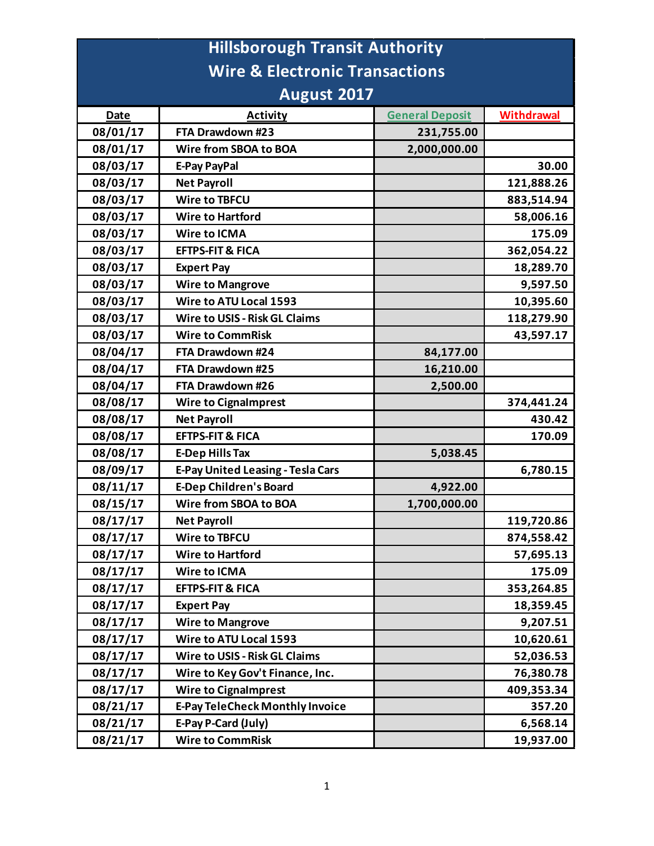| <b>Hillsborough Transit Authority</b>     |                                          |                        |                   |  |  |
|-------------------------------------------|------------------------------------------|------------------------|-------------------|--|--|
| <b>Wire &amp; Electronic Transactions</b> |                                          |                        |                   |  |  |
| <b>August 2017</b>                        |                                          |                        |                   |  |  |
| <b>Date</b>                               | <b>Activity</b>                          | <b>General Deposit</b> | <b>Withdrawal</b> |  |  |
| 08/01/17                                  | FTA Drawdown #23                         | 231,755.00             |                   |  |  |
| 08/01/17                                  | Wire from SBOA to BOA                    | 2,000,000.00           |                   |  |  |
| 08/03/17                                  | <b>E-Pay PayPal</b>                      |                        | 30.00             |  |  |
| 08/03/17                                  | <b>Net Payroll</b>                       |                        | 121,888.26        |  |  |
| 08/03/17                                  | <b>Wire to TBFCU</b>                     |                        | 883,514.94        |  |  |
| 08/03/17                                  | <b>Wire to Hartford</b>                  |                        | 58,006.16         |  |  |
| 08/03/17                                  | <b>Wire to ICMA</b>                      |                        | 175.09            |  |  |
| 08/03/17                                  | <b>EFTPS-FIT &amp; FICA</b>              |                        | 362,054.22        |  |  |
| 08/03/17                                  | <b>Expert Pay</b>                        |                        | 18,289.70         |  |  |
| 08/03/17                                  | <b>Wire to Mangrove</b>                  |                        | 9,597.50          |  |  |
| 08/03/17                                  | Wire to ATU Local 1593                   |                        | 10,395.60         |  |  |
| 08/03/17                                  | <b>Wire to USIS - Risk GL Claims</b>     |                        | 118,279.90        |  |  |
| 08/03/17                                  | <b>Wire to CommRisk</b>                  |                        | 43,597.17         |  |  |
| 08/04/17                                  | FTA Drawdown #24                         | 84,177.00              |                   |  |  |
| 08/04/17                                  | FTA Drawdown #25                         | 16,210.00              |                   |  |  |
| 08/04/17                                  | FTA Drawdown #26                         | 2,500.00               |                   |  |  |
| 08/08/17                                  | <b>Wire to Cignalmprest</b>              |                        | 374,441.24        |  |  |
| 08/08/17                                  | <b>Net Payroll</b>                       |                        | 430.42            |  |  |
| 08/08/17                                  | <b>EFTPS-FIT &amp; FICA</b>              |                        | 170.09            |  |  |
| 08/08/17                                  | <b>E-Dep Hills Tax</b>                   | 5,038.45               |                   |  |  |
| 08/09/17                                  | <b>E-Pay United Leasing - Tesla Cars</b> |                        | 6,780.15          |  |  |
| 08/11/17                                  | <b>E-Dep Children's Board</b>            | 4,922.00               |                   |  |  |
| 08/15/17                                  | Wire from SBOA to BOA                    | 1,700,000.00           |                   |  |  |
| 08/17/17                                  | <b>Net Payroll</b>                       |                        | 119,720.86        |  |  |
| 08/17/17                                  | <b>Wire to TBFCU</b>                     |                        | 874,558.42        |  |  |
| 08/17/17                                  | <b>Wire to Hartford</b>                  |                        | 57,695.13         |  |  |
| 08/17/17                                  | <b>Wire to ICMA</b>                      |                        | 175.09            |  |  |
| 08/17/17                                  | <b>EFTPS-FIT &amp; FICA</b>              |                        | 353,264.85        |  |  |
| 08/17/17                                  | <b>Expert Pay</b>                        |                        | 18,359.45         |  |  |
| 08/17/17                                  | <b>Wire to Mangrove</b>                  |                        | 9,207.51          |  |  |
| 08/17/17                                  | Wire to ATU Local 1593                   |                        | 10,620.61         |  |  |
| 08/17/17                                  | <b>Wire to USIS - Risk GL Claims</b>     |                        | 52,036.53         |  |  |
| 08/17/17                                  | Wire to Key Gov't Finance, Inc.          |                        | 76,380.78         |  |  |
| 08/17/17                                  | <b>Wire to Cignalmprest</b>              |                        | 409,353.34        |  |  |
| 08/21/17                                  | <b>E-Pay TeleCheck Monthly Invoice</b>   |                        | 357.20            |  |  |
| 08/21/17                                  | E-Pay P-Card (July)                      |                        | 6,568.14          |  |  |
| 08/21/17                                  | <b>Wire to CommRisk</b>                  |                        | 19,937.00         |  |  |